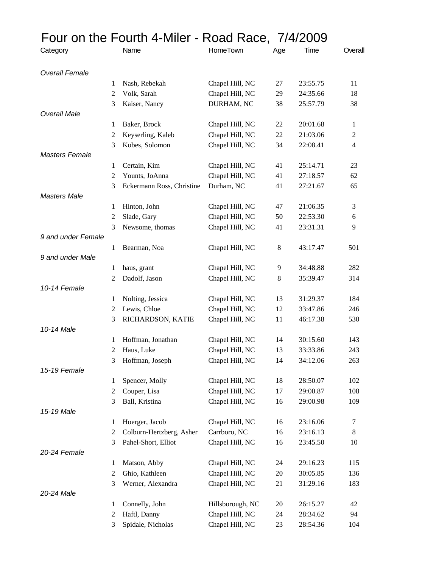|                       |        | Four on the Fourth 4-Miler - Road Race, 7/4/2009 |                                     |          |                      |               |
|-----------------------|--------|--------------------------------------------------|-------------------------------------|----------|----------------------|---------------|
| Category              |        | Name                                             | HomeTown                            | Age      | Time                 | Overall       |
| <b>Overall Female</b> |        |                                                  |                                     |          |                      |               |
|                       | 1      | Nash, Rebekah                                    | Chapel Hill, NC                     | 27       | 23:55.75             | 11            |
|                       | 2      | Volk, Sarah                                      | Chapel Hill, NC                     | 29       | 24:35.66             | 18            |
|                       | 3      | Kaiser, Nancy                                    | DURHAM, NC                          | 38       | 25:57.79             | 38            |
| <b>Overall Male</b>   | 1      | Baker, Brock                                     | Chapel Hill, NC                     | 22       | 20:01.68             | 1             |
|                       | 2      | Keyserling, Kaleb                                | Chapel Hill, NC                     | 22       | 21:03.06             | $\mathfrak 2$ |
|                       | 3      | Kobes, Solomon                                   | Chapel Hill, NC                     | 34       | 22:08.41             | 4             |
| <b>Masters Female</b> |        |                                                  |                                     |          |                      |               |
|                       | 1      | Certain, Kim                                     | Chapel Hill, NC                     | 41       | 25:14.71             | 23            |
|                       | 2      | Younts, JoAnna                                   | Chapel Hill, NC                     | 41       | 27:18.57             | 62            |
|                       | 3      | Eckermann Ross, Christine                        | Durham, NC                          | 41       | 27:21.67             | 65            |
| <b>Masters Male</b>   |        |                                                  |                                     |          |                      |               |
|                       | 1      | Hinton, John                                     | Chapel Hill, NC                     | 47       | 21:06.35             | 3             |
|                       | 2      | Slade, Gary                                      | Chapel Hill, NC                     | 50       | 22:53.30             | 6             |
|                       | 3      | Newsome, thomas                                  | Chapel Hill, NC                     | 41       | 23:31.31             | 9             |
| 9 and under Female    |        |                                                  |                                     |          |                      |               |
|                       | 1      | Bearman, Noa                                     | Chapel Hill, NC                     | $8\,$    | 43:17.47             | 501           |
| 9 and under Male      |        |                                                  |                                     |          |                      |               |
|                       | 1      | haus, grant                                      | Chapel Hill, NC                     | 9        | 34:48.88             | 282           |
| 10-14 Female          | 2      | Dadolf, Jason                                    | Chapel Hill, NC                     | $\,8$    | 35:39.47             | 314           |
|                       | 1      | Nolting, Jessica                                 | Chapel Hill, NC                     | 13       | 31:29.37             | 184           |
|                       | 2      | Lewis, Chloe                                     | Chapel Hill, NC                     | 12       | 33:47.86             | 246           |
|                       | 3      | RICHARDSON, KATIE                                | Chapel Hill, NC                     | 11       | 46:17.38             | 530           |
| 10-14 Male            |        |                                                  |                                     |          |                      |               |
|                       | 1      | Hoffman, Jonathan                                | Chapel Hill, NC                     | 14       | 30:15.60             | 143           |
|                       | 2      | Haus, Luke                                       | Chapel Hill, NC                     | 13       | 33:33.86             | 243           |
|                       | 3      | Hoffman, Joseph                                  | Chapel Hill, NC                     | 14       | 34:12.06             | 263           |
| 15-19 Female          |        |                                                  |                                     |          |                      |               |
|                       | 1      | Spencer, Molly                                   | Chapel Hill, NC                     | 18       | 28:50.07             | 102           |
|                       | 2      | Couper, Lisa                                     | Chapel Hill, NC                     | 17       | 29:00.87             | 108           |
|                       | 3      | Ball, Kristina                                   | Chapel Hill, NC                     | 16       | 29:00.98             | 109           |
| 15-19 Male            |        |                                                  |                                     |          |                      |               |
|                       | 1      | Hoerger, Jacob                                   | Chapel Hill, NC                     | 16       | 23:16.06             | 7             |
|                       | 2      | Colburn-Hertzberg, Asher                         | Carrboro, NC                        | 16       | 23:16.13             | 8             |
|                       | 3      | Pahel-Short, Elliot                              | Chapel Hill, NC                     | 16       | 23:45.50             | 10            |
| 20-24 Female          |        |                                                  |                                     |          |                      |               |
|                       | 1      | Matson, Abby                                     | Chapel Hill, NC                     | 24       | 29:16.23             | 115           |
|                       | 2      | Ghio, Kathleen                                   | Chapel Hill, NC                     | 20       | 30:05.85             | 136           |
|                       | 3      | Werner, Alexandra                                | Chapel Hill, NC                     | 21       | 31:29.16             | 183           |
| 20-24 Male            |        |                                                  |                                     |          |                      |               |
|                       | 1<br>2 | Connelly, John<br>Haftl, Danny                   | Hillsborough, NC<br>Chapel Hill, NC | 20<br>24 | 26:15.27<br>28:34.62 | 42<br>94      |
|                       | 3      | Spidale, Nicholas                                | Chapel Hill, NC                     | 23       | 28:54.36             | 104           |
|                       |        |                                                  |                                     |          |                      |               |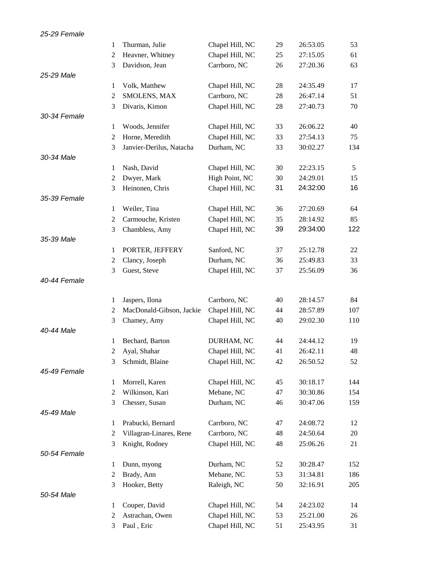| 25-29 Female |   |                          |                 |    |          |     |
|--------------|---|--------------------------|-----------------|----|----------|-----|
|              | 1 | Thurman, Julie           | Chapel Hill, NC | 29 | 26:53.05 | 53  |
|              | 2 | Heavner, Whitney         | Chapel Hill, NC | 25 | 27:15.05 | 61  |
|              | 3 | Davidson, Jean           | Carrboro, NC    | 26 | 27:20.36 | 63  |
| 25-29 Male   |   |                          |                 |    |          |     |
|              | 1 | Volk, Matthew            | Chapel Hill, NC | 28 | 24:35.49 | 17  |
|              | 2 | SMOLENS, MAX             | Carrboro, NC    | 28 | 26:47.14 | 51  |
|              | 3 | Divaris, Kimon           | Chapel Hill, NC | 28 | 27:40.73 | 70  |
| 30-34 Female |   |                          |                 |    |          |     |
|              | 1 | Woods, Jennifer          | Chapel Hill, NC | 33 | 26:06.22 | 40  |
|              | 2 | Horne, Meredith          | Chapel Hill, NC | 33 | 27:54.13 | 75  |
|              | 3 | Janvier-Derilus, Natacha | Durham, NC      | 33 | 30:02.27 | 134 |
| 30-34 Male   |   |                          |                 |    |          |     |
|              | 1 | Nash, David              | Chapel Hill, NC | 30 | 22:23.15 | 5   |
|              | 2 | Dwyer, Mark              | High Point, NC  | 30 | 24:29.01 | 15  |
|              | 3 | Heinonen, Chris          | Chapel Hill, NC | 31 | 24:32:00 | 16  |
| 35-39 Female |   |                          |                 |    |          |     |
|              | 1 | Weiler, Tina             | Chapel Hill, NC | 36 | 27:20.69 | 64  |
|              | 2 | Carmouche, Kristen       | Chapel Hill, NC | 35 | 28:14.92 | 85  |
|              | 3 | Chambless, Amy           | Chapel Hill, NC | 39 | 29:34:00 | 122 |
| 35-39 Male   |   |                          |                 |    |          |     |
|              | 1 | PORTER, JEFFERY          | Sanford, NC     | 37 | 25:12.78 | 22  |
|              | 2 | Clancy, Joseph           | Durham, NC      | 36 | 25:49.83 | 33  |
|              | 3 | Guest, Steve             | Chapel Hill, NC | 37 | 25:56.09 | 36  |
| 40-44 Female |   |                          |                 |    |          |     |
|              |   |                          |                 |    |          |     |
|              | 1 | Jaspers, Ilona           | Carrboro, NC    | 40 | 28:14.57 | 84  |
|              | 2 | MacDonald-Gibson, Jackie | Chapel Hill, NC | 44 | 28:57.89 | 107 |
|              | 3 | Chamey, Amy              | Chapel Hill, NC | 40 | 29:02.30 | 110 |
| 40-44 Male   |   |                          |                 |    |          |     |
|              | 1 | Bechard, Barton          | DURHAM, NC      | 44 | 24:44.12 | 19  |
|              |   | Ayal, Shahar             | Chapel Hill, NC | 41 | 26:42.11 | 48  |
|              | 3 | Schmidt, Blaine          | Chapel Hill, NC | 42 | 26:50.52 | 52  |
| 45-49 Female |   |                          |                 |    |          |     |
|              | 1 | Morrell, Karen           | Chapel Hill, NC | 45 | 30:18.17 | 144 |
|              | 2 | Wilkinson, Kari          | Mebane, NC      | 47 | 30:30.86 | 154 |
|              | 3 | Chesser, Susan           | Durham, NC      | 46 | 30:47.06 | 159 |
| 45-49 Male   |   |                          |                 |    |          |     |
|              | 1 | Prabucki, Bernard        | Carrboro, NC    | 47 | 24:08.72 | 12  |
|              | 2 | Villagran-Linares, Rene  | Carrboro, NC    | 48 | 24:50.64 | 20  |
|              | 3 | Knight, Rodney           | Chapel Hill, NC | 48 | 25:06.26 | 21  |
| 50-54 Female |   |                          |                 |    |          |     |
|              | 1 | Dunn, myong              | Durham, NC      | 52 | 30:28.47 | 152 |
|              | 2 | Brady, Ann               | Mebane, NC      | 53 | 31:34.81 | 186 |
|              | 3 | Hooker, Betty            | Raleigh, NC     | 50 | 32:16.91 | 205 |
| 50-54 Male   |   |                          |                 |    |          |     |
|              | 1 | Couper, David            | Chapel Hill, NC | 54 | 24:23.02 | 14  |
|              | 2 | Astrachan, Owen          | Chapel Hill, NC | 53 | 25:21.00 | 26  |
|              | 3 | Paul, Eric               | Chapel Hill, NC | 51 | 25:43.95 | 31  |